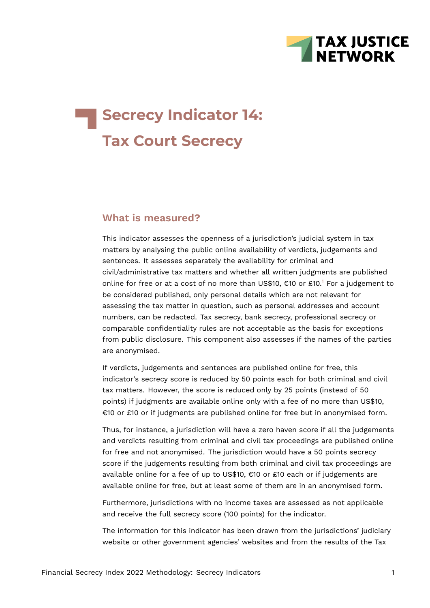

# **Secrecy Indicator 14: Tax Court Secrecy**

#### **What is measured?**

<span id="page-0-0"></span>This indicator assesses the openness of a jurisdiction's judicial system in tax matters by analysing the public online availability of verdicts, judgements and sentences. It assesses separately the availability for criminal and civil/administrative tax matters and whether all written judgments are published online for free or at a cost of no more than US\$[1](#page-7-0)0, €10 or £10.<sup>1</sup> For a judgement to be considered published, only personal details which are not relevant for assessing the tax matter in question, such as personal addresses and account numbers, can be redacted. Tax secrecy, bank secrecy, professional secrecy or comparable confidentiality rules are not acceptable as the basis for exceptions from public disclosure. This component also assesses if the names of the parties are anonymised.

If verdicts, judgements and sentences are published online for free, this indicator's secrecy score is reduced by 50 points each for both criminal and civil tax matters. However, the score is reduced only by 25 points (instead of 50 points) if judgments are available online only with a fee of no more than US\$10, €10 or £10 or if judgments are published online for free but in anonymised form.

Thus, for instance, a jurisdiction will have a zero haven score if all the judgements and verdicts resulting from criminal and civil tax proceedings are published online for free and not anonymised. The jurisdiction would have a 50 points secrecy score if the judgements resulting from both criminal and civil tax proceedings are available online for a fee of up to US\$10, €10 or £10 each or if judgements are available online for free, but at least some of them are in an anonymised form.

Furthermore, jurisdictions with no income taxes are assessed as not applicable and receive the full secrecy score (100 points) for the indicator.

The information for this indicator has been drawn from the jurisdictions' judiciary website or other government agencies' websites and from the results of the Tax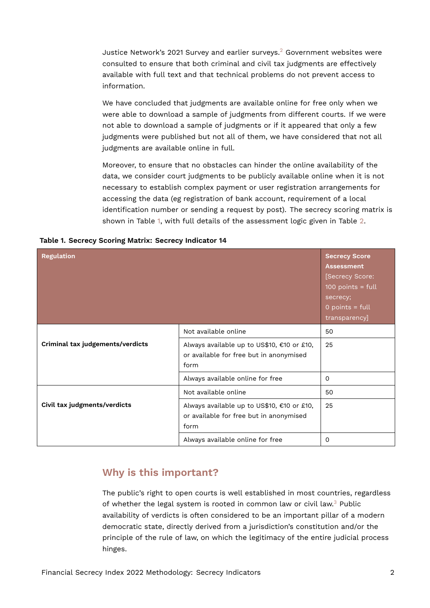<span id="page-1-1"></span>Justice Network's 2021 Survey and earlier surveys.[2](#page-7-1) Government websites were consulted to ensure that both criminal and civil tax judgments are effectively available with full text and that technical problems do not prevent access to information.

We have concluded that judgments are available online for free only when we were able to download a sample of judgments from different courts. If we were not able to download a sample of judgments or if it appeared that only a few judgments were published but not all of them, we have considered that not all judgments are available online in full.

Moreover, to ensure that no obstacles can hinder the online availability of the data, we consider court judgments to be publicly available online when it is not necessary to establish complex payment or user registration arrangements for accessing the data (eg registration of bank account, requirement of a local identification number or sending a request by post). The secrecy scoring matrix is shown in Table [1](#page-1-0), with full details of the assessment logic given in Table [2.](#page-3-0)

<span id="page-1-0"></span>

|  |  |  |  |  |  | Table 1. Secrecy Scoring Matrix: Secrecy Indicator 14 |  |
|--|--|--|--|--|--|-------------------------------------------------------|--|
|--|--|--|--|--|--|-------------------------------------------------------|--|

| <b>Regulation</b>                |                                                                                                                       | <b>Secrecy Score</b><br><b>Assessment</b><br>[Secrecy Score:<br>100 points = $full$<br>secrecy;<br>$0$ points = full<br>transparency] |
|----------------------------------|-----------------------------------------------------------------------------------------------------------------------|---------------------------------------------------------------------------------------------------------------------------------------|
| Criminal tax judgements/verdicts | Not available online<br>Always available up to US\$10, €10 or £10,<br>or available for free but in anonymised<br>form | 50<br>25                                                                                                                              |
|                                  | Always available online for free                                                                                      | 0                                                                                                                                     |
| Civil tax judgments/verdicts     | Not available online<br>Always available up to US\$10, €10 or £10,<br>or available for free but in anonymised<br>form | 50<br>25                                                                                                                              |
|                                  | Always available online for free                                                                                      | 0                                                                                                                                     |

### **Why is this important?**

<span id="page-1-2"></span>The public's right to open courts is well established in most countries, regardless of whether the legal system is rooted in common law or civil law.[3](#page-7-2) Public availability of verdicts is often considered to be an important pillar of a modern democratic state, directly derived from a jurisdiction's constitution and/or the principle of the rule of law, on which the legitimacy of the entire judicial process hinges.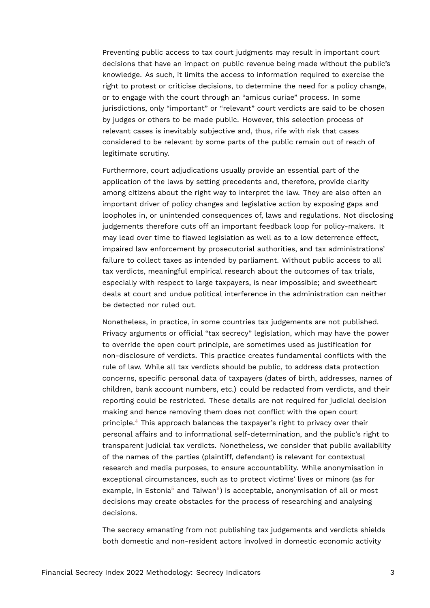Preventing public access to tax court judgments may result in important court decisions that have an impact on public revenue being made without the public's knowledge. As such, it limits the access to information required to exercise the right to protest or criticise decisions, to determine the need for a policy change, or to engage with the court through an "amicus curiae" process. In some jurisdictions, only "important" or "relevant" court verdicts are said to be chosen by judges or others to be made public. However, this selection process of relevant cases is inevitably subjective and, thus, rife with risk that cases considered to be relevant by some parts of the public remain out of reach of legitimate scrutiny.

Furthermore, court adjudications usually provide an essential part of the application of the laws by setting precedents and, therefore, provide clarity among citizens about the right way to interpret the law. They are also often an important driver of policy changes and legislative action by exposing gaps and loopholes in, or unintended consequences of, laws and regulations. Not disclosing judgements therefore cuts off an important feedback loop for policy-makers. It may lead over time to flawed legislation as well as to a low deterrence effect, impaired law enforcement by prosecutorial authorities, and tax administrations' failure to collect taxes as intended by parliament. Without public access to all tax verdicts, meaningful empirical research about the outcomes of tax trials, especially with respect to large taxpayers, is near impossible; and sweetheart deals at court and undue political interference in the administration can neither be detected nor ruled out.

<span id="page-2-0"></span>Nonetheless, in practice, in some countries tax judgements are not published. Privacy arguments or official "tax secrecy" legislation, which may have the power to override the open court principle, are sometimes used as justification for non-disclosure of verdicts. This practice creates fundamental conflicts with the rule of law. While all tax verdicts should be public, to address data protection concerns, specific personal data of taxpayers (dates of birth, addresses, names of children, bank account numbers, etc.) could be redacted from verdicts, and their reporting could be restricted. These details are not required for judicial decision making and hence removing them does not conflict with the open court principle.[4](#page-7-3) This approach balances the taxpayer's right to privacy over their personal affairs and to informational self-determination, and the public's right to transparent judicial tax verdicts. Nonetheless, we consider that public availability of the names of the parties (plaintiff, defendant) is relevant for contextual research and media purposes, to ensure accountability. While anonymisation in exceptional circumstances, such as to protect victims' lives or minors (as for example, in Estonia $^5$  $^5$  and Taiwan $^6$  $^6$ ) is acceptable, anonymisation of all or most decisions may create obstacles for the process of researching and analysing decisions.

<span id="page-2-2"></span><span id="page-2-1"></span>The secrecy emanating from not publishing tax judgements and verdicts shields both domestic and non-resident actors involved in domestic economic activity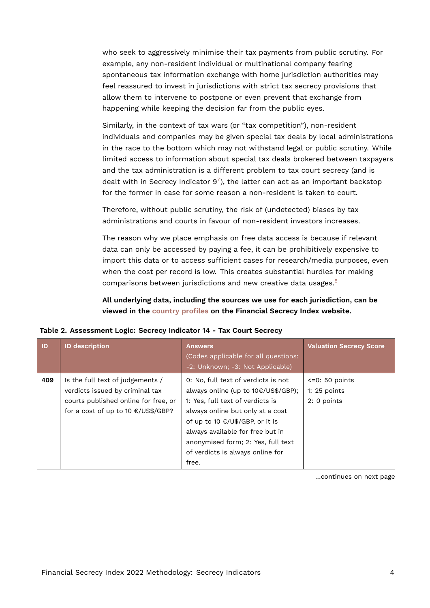who seek to aggressively minimise their tax payments from public scrutiny. For example, any non-resident individual or multinational company fearing spontaneous tax information exchange with home jurisdiction authorities may feel reassured to invest in jurisdictions with strict tax secrecy provisions that allow them to intervene to postpone or even prevent that exchange from happening while keeping the decision far from the public eyes.

Similarly, in the context of tax wars (or "tax competition"), non-resident individuals and companies may be given special tax deals by local administrations in the race to the bottom which may not withstand legal or public scrutiny. While limited access to information about special tax deals brokered between taxpayers and the tax administration is a different problem to tax court secrecy (and is dealt with in Secrecy Indicator  $9^7$  $9^7$ ), the latter can act as an important backstop for the former in case for some reason a non-resident is taken to court.

<span id="page-3-1"></span>Therefore, without public scrutiny, the risk of (undetected) biases by tax administrations and courts in favour of non-resident investors increases.

The reason why we place emphasis on free data access is because if relevant data can only be accessed by paying a fee, it can be prohibitively expensive to import this data or to access sufficient cases for research/media purposes, even when the cost per record is low. This creates substantial hurdles for making comparisons between jurisdictions and new creative data usages.[8](#page-8-0)

<span id="page-3-0"></span>**All underlying data, including the sources we use for each jurisdiction, can be viewed in the [country profiles](https://fsi.taxjustice.net/country-detail) on the Financial Secrecy Index website.**

| ID  | <b>ID description</b>                                                                                                                             | <b>Answers</b><br>(Codes applicable for all questions:<br>-2: Unknown; -3: Not Applicable)                                                                                                                                                                                                                   | <b>Valuation Secrecy Score</b>                     |
|-----|---------------------------------------------------------------------------------------------------------------------------------------------------|--------------------------------------------------------------------------------------------------------------------------------------------------------------------------------------------------------------------------------------------------------------------------------------------------------------|----------------------------------------------------|
| 409 | Is the full text of judgements /<br>verdicts issued by criminal tax<br>courts published online for free, or<br>for a cost of up to 10 €/US\$/GBP? | 0: No, full text of verdicts is not<br>always online (up to 10€/US\$/GBP);<br>1: Yes, full text of verdicts is<br>always online but only at a cost<br>of up to 10 €/U\$/GBP, or it is<br>always available for free but in<br>anonymised form; 2: Yes, full text<br>of verdicts is always online for<br>free. | $<-0$ : 50 points<br>1: $25$ points<br>2: 0 points |

|  | Table 2. Assessment Logic: Secrecy Indicator 14 - Tax Court Secrecy |
|--|---------------------------------------------------------------------|
|--|---------------------------------------------------------------------|

<span id="page-3-2"></span>…continues on next page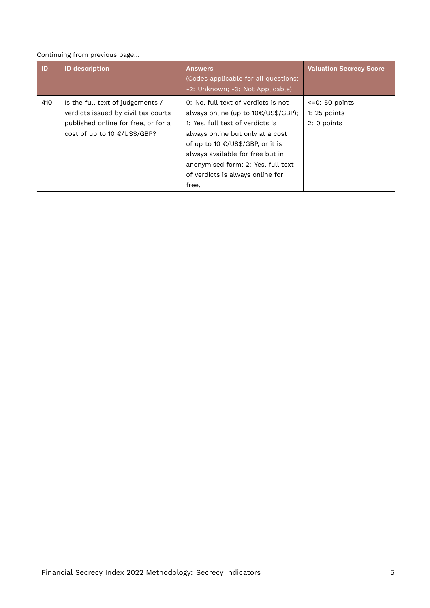#### Continuing from previous page…

| <b>ID</b> | <b>ID description</b>                                                                                                                          | <b>Answers</b><br>(Codes applicable for all questions:<br>-2: Unknown; -3: Not Applicable)                                                                                                                                                                                                                    | <b>Valuation Secrecy Score</b>                     |
|-----------|------------------------------------------------------------------------------------------------------------------------------------------------|---------------------------------------------------------------------------------------------------------------------------------------------------------------------------------------------------------------------------------------------------------------------------------------------------------------|----------------------------------------------------|
| 410       | Is the full text of judgements /<br>verdicts issued by civil tax courts<br>published online for free, or for a<br>cost of up to 10 €/US\$/GBP? | 0: No, full text of verdicts is not<br>always online (up to 10€/US\$/GBP);<br>1: Yes, full text of verdicts is<br>always online but only at a cost<br>of up to 10 €/US\$/GBP, or it is<br>always available for free but in<br>anonymised form; 2: Yes, full text<br>of verdicts is always online for<br>free. | $<-0$ : 50 points<br>1: $25$ points<br>2: 0 points |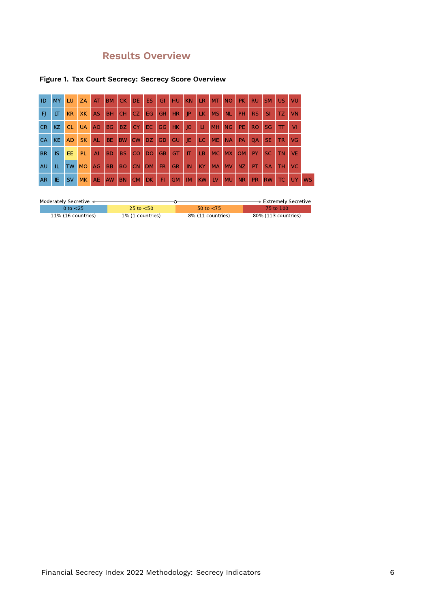## **Results Overview**

#### **Figure 1. Tax Court Secrecy: Secrecy Score Overview**

| ID        | <b>MY</b> | LU.       | <b>ZA</b> | AT             | <b>BM</b> | CK        | <b>DE</b> | ES.       | GI        | <b>HU</b> | <b>KN</b>   | LR.       | M <sub>T</sub> | <b>NO</b> | <b>PK</b> | <b>RU</b> | <b>SM</b> | <b>US</b> | VU        |           |
|-----------|-----------|-----------|-----------|----------------|-----------|-----------|-----------|-----------|-----------|-----------|-------------|-----------|----------------|-----------|-----------|-----------|-----------|-----------|-----------|-----------|
| FI        | LT        | KR        | <b>XK</b> | <b>AS</b>      | <b>BH</b> | <b>CH</b> | CZ.       | EG.       | GH        | <b>HR</b> | <b>IP</b>   | LK.       | <b>MS</b>      | <b>NL</b> | <b>PH</b> | <b>RS</b> | <b>SI</b> | TZ.       | VN        |           |
| <b>CR</b> | KZ.       | <b>CL</b> | <b>UA</b> | A <sub>O</sub> | <b>BG</b> | BZ.       | CY.       | EC.       | GG        | HK.       | $ 0\rangle$ | LI.       | <b>MH</b>      | <b>NG</b> | PE.       | <b>RO</b> | <b>SG</b> | π         | Μ         |           |
| <b>CA</b> | KE.       | <b>AD</b> | <b>SK</b> | <b>AL</b>      | BE.       | <b>BW</b> | <b>CW</b> | DZ.       | GD        | GU        | JE.         | LC.       | <b>ME</b>      | <b>NA</b> | <b>PA</b> | <b>OA</b> | <b>SE</b> | TR        | VG        |           |
| <b>BR</b> | IS        | EE.       | <b>PL</b> | $\mathsf{A}$   | <b>BD</b> | <b>BS</b> | <b>CO</b> | DO        | <b>GB</b> | <b>GT</b> | IT          | LB        | MC.            | <b>MX</b> | <b>OM</b> | PY        | <b>SC</b> | <b>TN</b> | <b>VE</b> |           |
| AU        | IL        | <b>TW</b> | <b>MO</b> | AG             | <b>BB</b> | <b>BO</b> | <b>CN</b> | <b>DM</b> | <b>FR</b> | <b>GR</b> | IN          | KY.       | <b>MA</b>      | <b>NV</b> | NZ.       | PT        | <b>SA</b> | TН        | <b>VC</b> |           |
| AR.       | IE.       | <b>SV</b> | <b>MK</b> | <b>AE</b>      | <b>AW</b> | <b>BN</b> | <b>CM</b> | DK.       | FI.       | <b>GM</b> | <b>IM</b>   | <b>KW</b> | LV             | <b>MU</b> | <b>NR</b> | <b>PR</b> | <b>RW</b> | TC.       | <b>UY</b> | <b>WS</b> |

| Moderately Secretive < |                  |                   | $\blacktriangleright$ Extremely Secretive |
|------------------------|------------------|-------------------|-------------------------------------------|
| 0 to $<$ 25            | 25 to $<$ 50     | 50 to $<$ 75      | 75 to 100                                 |
| 11% (16 countries)     | 1% (1 countries) | 8% (11 countries) | 80% (113 countries)                       |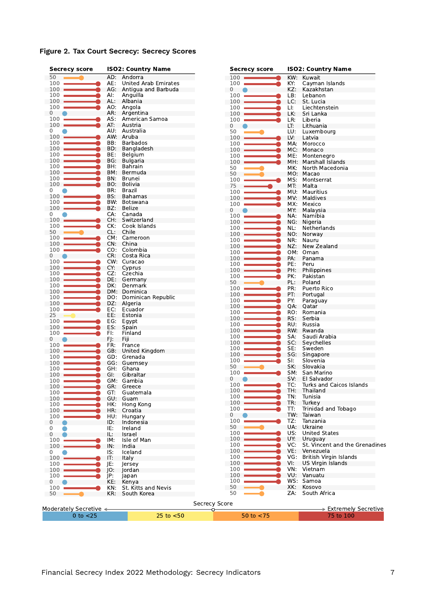**Figure 2. Tax Court Secrecy: Secrecy Scores**

| <b>Secrecy score</b>              |     | <b>ISO2: Country Name</b> | <b>Secrecy score</b> | <b>ISO2: Country Name</b> |                                   |  |  |
|-----------------------------------|-----|---------------------------|----------------------|---------------------------|-----------------------------------|--|--|
| 50                                |     | AD: Andorra               | 100                  | KW:                       | Kuwait                            |  |  |
| 100                               | AE: | United Arab Emirates      | 100                  | KY:                       | Cayman Islands                    |  |  |
| 100                               | AG: | Antigua and Barbuda       | 0                    | KZ:                       | Kazakhstan                        |  |  |
| 100                               | AI: | Anguilla                  | 100                  | LB:                       | Lebanon                           |  |  |
| 100                               | AL: | Albania                   | 100                  | LC:                       | St. Lucia                         |  |  |
| 100                               | AO: | Angola                    | 100                  | LI:                       | Liechtenstein                     |  |  |
| 0                                 | AR: | Argentina                 | 100                  | LK:                       | Sri Lanka                         |  |  |
| 100                               | AS: | American Samoa            | 100                  | LR:                       | Liberia                           |  |  |
| 100                               | AT: | Austria                   | 0                    | LT:                       | Lithuania                         |  |  |
| 0                                 |     | AU: Australia             | 50                   | LU:                       | Luxembourg                        |  |  |
| 100                               |     | AW: Aruba                 | 100                  | LV:                       | Latvia                            |  |  |
| 100                               | BB: | <b>Barbados</b>           | 100                  | MA:                       | Morocco                           |  |  |
| 100                               | BD: | Bangladesh                | 100                  | MC:                       | Monaco                            |  |  |
| 100                               | BE: | Belgium                   | 100                  | ME:                       | Montenegro                        |  |  |
| 100                               | BG: | <b>Bulgaria</b>           | 100                  | MH.                       | Marshall Islands                  |  |  |
| 100                               | BH: | Bahrain                   | 50                   | MK:                       |                                   |  |  |
| 100                               | BM: | Bermuda                   | 50                   |                           | North Macedonia<br>MO: Macao      |  |  |
| 100                               | BN: | <b>Brunei</b>             | 100                  |                           |                                   |  |  |
| 100                               | BO: | Bolivia                   |                      | MS:                       | Montserrat                        |  |  |
| 0                                 | BR: | Brazil                    | 75                   | MT.                       | Malta                             |  |  |
| 100                               | BS: | Bahamas                   | 100                  | MU:                       | Mauritius                         |  |  |
| 100                               | BW: | Botswana                  | 100                  | MV.                       | Maldives                          |  |  |
| 100                               | BZ: | Belize                    | 100                  | MX:                       | Mexico                            |  |  |
|                                   | CA: | Canada                    | $\mathbf 0$          | MY:                       | Malaysia                          |  |  |
| 0<br>100                          | CH: | Switzerland               | 100                  | NA:                       | Namibia                           |  |  |
|                                   |     |                           | 100                  | NG:                       | Nigeria                           |  |  |
| 100                               | CK: | Cook Islands              | 100                  | NL:                       | Netherlands                       |  |  |
| 50                                | CL: | Chile                     | 100                  | NO.                       | Norway                            |  |  |
| 100                               |     | CM: Cameroon              | 100                  | NR:                       | Nauru                             |  |  |
| 100                               | CN: | China                     | 100                  | NZ:                       | New Zealand                       |  |  |
| 100                               | CO: | Colombia                  | 100                  | OM:                       | Oman                              |  |  |
| 0                                 | CR: | Costa Rica                | 100                  | PA:                       | Panama                            |  |  |
| 100                               |     | CW: Curacao               | 100                  | PE:                       | Peru                              |  |  |
| 100                               | CY: | Cyprus                    | 100                  | PH:                       | Philippines                       |  |  |
| 100                               | CZ. | Czechia                   | 100                  | PK:                       | Pakistan                          |  |  |
| 100                               | DE: | Germany                   | 50                   | PL:                       | Poland                            |  |  |
| 100                               | DK: | Denmark                   | 100                  | PR:                       | Puerto Rico                       |  |  |
| 100                               |     | DM: Dominica              | 100                  | PT:                       | Portugal                          |  |  |
| 100                               | DO: | Dominican Republic        | 100                  | PY:                       | Paraguay                          |  |  |
| 100                               | DZ: | Algeria                   | 100                  | QA:                       |                                   |  |  |
| 100                               | EC: | Ecuador                   |                      |                           | Qatar                             |  |  |
| 25                                | EE: | Estonia                   | 100                  | RO:                       | Romania                           |  |  |
| 100                               | EG: | Egypt                     | 100                  | RS:                       | Serbia                            |  |  |
| 100                               | ES: | Spain                     | 100                  | RU.                       | Russia                            |  |  |
| 100                               | FI: | Finland                   | 100                  | RW:                       | Rwanda                            |  |  |
| 0                                 | FJ: | Fiji                      | 100                  | SA:                       | Saudi Arabia                      |  |  |
| 100                               | FR: | France                    | 100                  | SC:                       | Seychelles                        |  |  |
| 100                               | GB: | United Kingdom            | 100                  | SE:                       | Sweden                            |  |  |
| 100                               | GD: | Grenada                   | 100                  | SG:                       | Singapore                         |  |  |
| 100                               |     | GG: Guernsey              | 100                  | SI:                       | Slovenia                          |  |  |
| 100                               | GH: | Ghana                     | 50                   | SK:                       | Slovakia                          |  |  |
| 100                               | GI: | Gibraltar                 | 100                  | SM:                       | San Marino                        |  |  |
| 100                               |     | GM: Gambia                | 0                    | SV:                       | El Salvador                       |  |  |
| $100 -$                           | GR: | Greece                    | 100                  | TC:                       | Turks and Caicos Islands          |  |  |
| 100                               | GT: | Guatemala                 | 100                  | TH:                       | Thailand                          |  |  |
| 100                               | GU: | Guam                      | 100                  | TN:                       | Tunisia                           |  |  |
| 100                               | HK: | Hong Kong                 | 100                  | TR:                       | Turkey                            |  |  |
|                                   |     |                           | 100                  | TT:                       | Trinidad and Tobago               |  |  |
| 100                               | HR: | Croatia                   | 0                    | TW:                       | Taiwan                            |  |  |
| 100                               | HU: | Hungary                   | 100                  | TZ:                       | Tanzania                          |  |  |
| 0                                 | ID: | Indonesia                 | 50                   | UA:                       | Ukraine                           |  |  |
| 0                                 | IE: | Ireland                   | 100                  | US:                       | <b>United States</b>              |  |  |
| $\mathbf 0$                       | IL: | Israel                    | 100                  | UY.                       |                                   |  |  |
| 100                               | IM: | Isle of Man               |                      |                           | Uruguay                           |  |  |
| $100 -$                           | IN: | India                     | 100                  | VC:                       | St. Vincent and the Grenadines    |  |  |
| 0                                 | IS. | Iceland                   | 100                  | VE:                       | Venezuela                         |  |  |
| 100                               | IT: | Italy                     | 100                  | VG:                       | British Virgin Islands            |  |  |
| 100                               | JE: | Jersey                    | 100                  | VI:                       | US Virgin Islands                 |  |  |
| 100                               | IO: | Jordan                    | 100                  | VN:                       | Vietnam                           |  |  |
| 100                               | JP: | Japan                     | 100                  | VU:                       | Vanuatu                           |  |  |
| 0                                 | KE. | Kenya                     | 100                  | WS:                       | Samoa                             |  |  |
| 100                               | KN: | St. Kitts and Nevis       | 50                   | XK:                       | Kosovo                            |  |  |
| 50                                | KR: | South Korea               | 50                   | ZA:                       | South Africa                      |  |  |
|                                   |     |                           |                      |                           |                                   |  |  |
|                                   |     |                           | <b>Secrecy Score</b> |                           |                                   |  |  |
| Moderately Secretive $\leftarrow$ |     |                           | ᢦ                    |                           | $\Rightarrow$ Extremely Secretive |  |  |
| $0$ to $<$ 25                     |     | $25$ to $< 50$            | 50 to $<$ 75         |                           | 75 to 100                         |  |  |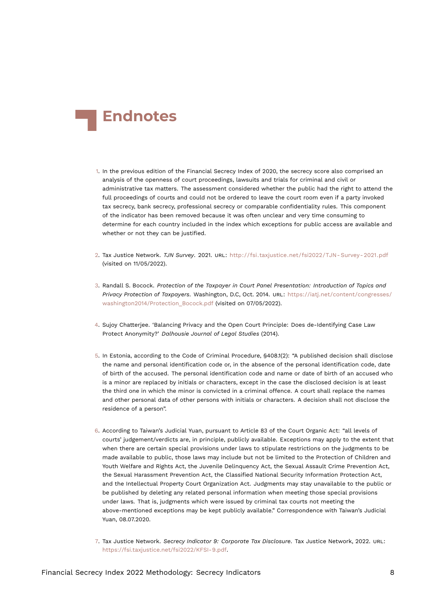<span id="page-7-7"></span>

- <span id="page-7-0"></span>[1.](#page-0-0) In the previous edition of the Financial Secrecy Index of 2020, the secrecy score also comprised an analysis of the openness of court proceedings, lawsuits and trials for criminal and civil or administrative tax matters. The assessment considered whether the public had the right to attend the full proceedings of courts and could not be ordered to leave the court room even if a party invoked tax secrecy, bank secrecy, professional secrecy or comparable confidentiality rules. This component of the indicator has been removed because it was often unclear and very time consuming to determine for each country included in the index which exceptions for public access are available and whether or not they can be justified.
- <span id="page-7-1"></span>[2.](#page-1-1) Tax Justice Network. *TJN Survey*. 2021. URL: [http://fsi.taxjustice.net/fsi2022/TJN- Survey- 2021.pdf](http://fsi.taxjustice.net/fsi2022/TJN-Survey-2021.pdf) (visited on 11/05/2022).
- <span id="page-7-2"></span>[3.](#page-1-2) Randall S. Bocock. *Protection of the Taxpayer in Court Panel Presentation: Introduction of Topics and Privacy Protection of Taxpayers*. Washington, D.C, Oct. 2014. URL: [https://iatj.net/content/congresses/](https://iatj.net/content/congresses/washington2014/Protection_Bocock.pdf) [washington2014/Protection\\_Bocock.pdf](https://iatj.net/content/congresses/washington2014/Protection_Bocock.pdf) (visited on 07/05/2022).
- <span id="page-7-3"></span>[4.](#page-2-0) Sujoy Chatterjee. 'Balancing Privacy and the Open Court Principle: Does de-Identifying Case Law Protect Anonymity?' *Dalhousie Journal of Legal Studies* (2014).
- <span id="page-7-4"></span>[5.](#page-2-1) In Estonia, according to the Code of Criminal Procedure, §408.1(2): "A published decision shall disclose the name and personal identification code or, in the absence of the personal identification code, date of birth of the accused. The personal identification code and name or date of birth of an accused who is a minor are replaced by initials or characters, except in the case the disclosed decision is at least the third one in which the minor is convicted in a criminal offence. A court shall replace the names and other personal data of other persons with initials or characters. A decision shall not disclose the residence of a person".
- <span id="page-7-5"></span>[6.](#page-2-2) According to Taiwan's Judicial Yuan, pursuant to Article 83 of the Court Organic Act: "all levels of courts' judgement/verdicts are, in principle, publicly available. Exceptions may apply to the extent that when there are certain special provisions under laws to stipulate restrictions on the judgments to be made available to public, those laws may include but not be limited to the Protection of Children and Youth Welfare and Rights Act, the Juvenile Delinquency Act, the Sexual Assault Crime Prevention Act, the Sexual Harassment Prevention Act, the Classified National Security Information Protection Act, and the Intellectual Property Court Organization Act. Judgments may stay unavailable to the public or be published by deleting any related personal information when meeting those special provisions under laws. That is, judgments which were issued by criminal tax courts not meeting the above-mentioned exceptions may be kept publicly available." Correspondence with Taiwan's Judicial Yuan, 08.07.2020.
- <span id="page-7-6"></span>[7.](#page-3-1) Tax Justice Network. *Secrecy Indicator 9: Corporate Tax Disclosure*. Tax Justice Network, 2022. URL: [https://fsi.taxjustice.net/fsi2022/KFSI-9.pdf.](https://fsi.taxjustice.net/fsi2022/KFSI-9.pdf)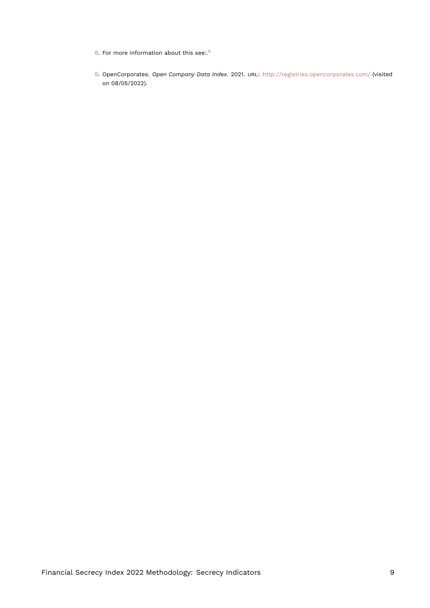- <span id="page-8-3"></span><span id="page-8-2"></span><span id="page-8-0"></span>[8.](#page-3-2) For more information about this see:.<sup>[9](#page-8-1)</sup>
- <span id="page-8-1"></span>[9.](#page-8-2) OpenCorporates. *Open Company Data Index*. 2021. URL: <http://registries.opencorporates.com/> (visited on 08/05/2022).